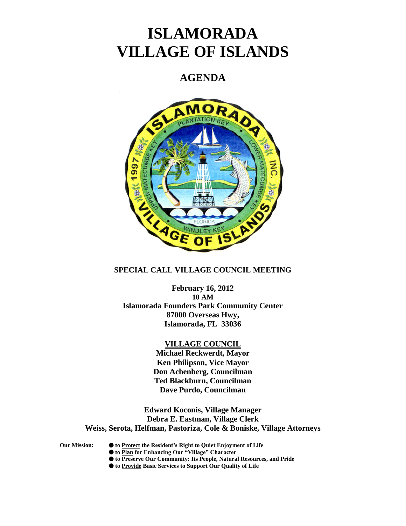# **ISLAMORADA VILLAGE OF ISLANDS**

## **AGENDA**



## **SPECIAL CALL VILLAGE COUNCIL MEETING**

**February 16, 2012 10 AM Islamorada Founders Park Community Center 87000 Overseas Hwy, Islamorada, FL 33036**

### **VILLAGE COUNCIL**

**Michael Reckwerdt, Mayor Ken Philipson, Vice Mayor Don Achenberg, Councilman Ted Blackburn, Councilman Dave Purdo, Councilman**

**Edward Koconis, Village Manager Debra E. Eastman, Village Clerk Weiss, Serota, Helfman, Pastoriza, Cole & Boniske, Village Attorneys**

- **Our Mission: to Protect the Resident's Right to Quiet Enjoyment of Life**
	- **to Plan for Enhancing Our "Village" Character**
	- **to Preserve Our Community: Its People, Natural Resources, and Pride**
	- **to Provide Basic Services to Support Our Quality of Life**